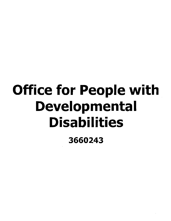# Office for People with **Developmental Disabilities**

3660243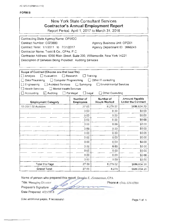AC 3272-S (Effective 4/12)

#### **FORM B**

### **New York State Consultant Services Contractor's Annual Employment Report**

Report Period: April 1, 2017 to March 31, 2018

| Contracting State Agency Name: OPWDD                                           |                                  |                                  |                                                    |  |
|--------------------------------------------------------------------------------|----------------------------------|----------------------------------|----------------------------------------------------|--|
| Contract Number: C023880                                                       | Agency Business Unit: OPD01      |                                  |                                                    |  |
| Contract Term: 1/1/2011 to 7/31/2017                                           |                                  | Agency Department ID: 3660243    |                                                    |  |
| Contractor Name: Toski & Co., CPAs, P.C.                                       |                                  |                                  |                                                    |  |
| Contractor Address: 6390 Main Street, Suite 200, Williamsville, New York 14221 |                                  |                                  |                                                    |  |
| Description of Services Being Provided: Auditing Services                      |                                  |                                  |                                                    |  |
|                                                                                |                                  |                                  |                                                    |  |
|                                                                                |                                  |                                  |                                                    |  |
| Scope of Contract (Choose one that best fits):                                 |                                  |                                  |                                                    |  |
| $\exists$ Evaluation<br>$\Box$ Research<br>$\square$ Analysis                  | Training                         |                                  |                                                    |  |
| Data Processing<br>Computer Programming                                        |                                  | Other IT consulting              |                                                    |  |
| Architect Services<br>Engineering                                              | □ Surveying                      | Environmental Services           |                                                    |  |
| <b>Health Services</b><br>Mental Health Services                               |                                  |                                  |                                                    |  |
| Accounting<br><b>□</b> Auditing                                                | $\Box$ Legal<br>$\Box$ Paralegal | Other Consulting                 |                                                    |  |
| <b>Employment Category</b>                                                     | Number of<br><b>Employees</b>    | Number of<br><b>Hours Worked</b> | <b>Amount Payable</b><br><b>Under the Contract</b> |  |
| 13-2011.02 Auditors                                                            | 27.00                            | 8,279.02                         | \$686,634.20                                       |  |
|                                                                                | 000                              | 000                              | \$0.00                                             |  |
|                                                                                | 0.00                             | 0.00                             | \$0.00                                             |  |
|                                                                                | 0.00                             | 0.00                             | \$0.00                                             |  |
|                                                                                | 0.00                             | 0.00                             | \$0.00                                             |  |
|                                                                                | 0.00                             | 0.00                             | \$0.00                                             |  |
|                                                                                | 0.00                             | 0.00                             | \$0.00                                             |  |
|                                                                                | 0.00                             | 0.00                             | \$0.00                                             |  |
|                                                                                | 0.00                             | 0.00                             | \$0.00                                             |  |
|                                                                                | 0.00                             | 0.00                             | \$0.00                                             |  |
|                                                                                | 0.00                             | 0.00                             | \$0.00                                             |  |
|                                                                                | 0.00                             | 0.00                             | \$0.00                                             |  |
|                                                                                | 0.00                             | 0.00                             | \$0.00                                             |  |
| Total this Page                                                                | 27 00                            | 8,279.02                         | \$686,634.20                                       |  |
| <b>Grand Total</b>                                                             | 27.00                            | 8,279                            | \$686,634.20                                       |  |

Name of person who prepared this report: Douglas E. Zimmerman, CPA

Title: Managing Director Preparer's Signature:

Date Prepared: 4/25/2018

Phone #: (716) 634-0700

(Use additional pages, if necessary)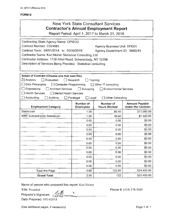| New York State Consultant Services<br><b>Contractor's Annual Employment Report</b><br>Report Period: April 1, 2017 to March 31, 2018                                                                                                                                                                                                                                                                                                               |                                          |                                  |                                                    |  |  |  |
|----------------------------------------------------------------------------------------------------------------------------------------------------------------------------------------------------------------------------------------------------------------------------------------------------------------------------------------------------------------------------------------------------------------------------------------------------|------------------------------------------|----------------------------------|----------------------------------------------------|--|--|--|
| Contracting State Agency Name: OPWDD<br>Contract Number: C024583<br>Agency Business Unit: OPD01<br>Contract Term: 04/01/2014 to 03/30/2019<br>Agency Department ID: 3660243<br>Contractor Name: Karl Heiner Statistical Consulting, Ltd<br>Contractor Address: 1739 Athol Road, Schenectady, NY 12308<br>Description of Services Being Provided: Statistical consulting                                                                            |                                          |                                  |                                                    |  |  |  |
| Scope of Contract (Choose one that best fits):<br>$\boxtimes$ Analysis<br>Evaluation<br>Research<br>Training<br>$\Box$ Data Processing<br>Computer Programming<br>$\Box$ Other IT consulting<br>Engineering<br><b>Architect Services</b><br>$\Box$ Surveying<br><b>Environmental Services</b><br><b>Health Services</b><br>□ Mental Health Services<br>$\Box$ Accounting<br>$\Box$ Auditing<br>$\Box$ Paralegal<br>Legal<br>Other Consulting<br>Ιł |                                          |                                  |                                                    |  |  |  |
| <b>Employment Category</b>                                                                                                                                                                                                                                                                                                                                                                                                                         | <b>Number of</b><br><b>Employees</b>     | Number of<br><b>Hours Worked</b> | <b>Amount Payable</b><br><b>Under the Contract</b> |  |  |  |
| Statistician                                                                                                                                                                                                                                                                                                                                                                                                                                       | 1.00                                     | 85.40                            | \$17,080.00                                        |  |  |  |
| <b>WBE Subcontractor Statistician</b>                                                                                                                                                                                                                                                                                                                                                                                                              | 1.00                                     | 36.60                            | \$7,320.00                                         |  |  |  |
|                                                                                                                                                                                                                                                                                                                                                                                                                                                    | 0.00                                     | 0.00                             | \$0.00                                             |  |  |  |
|                                                                                                                                                                                                                                                                                                                                                                                                                                                    | 0.00                                     | 0.00                             | \$0.00                                             |  |  |  |
|                                                                                                                                                                                                                                                                                                                                                                                                                                                    | 0.00                                     | 0.00                             | \$0.00                                             |  |  |  |
|                                                                                                                                                                                                                                                                                                                                                                                                                                                    | 0.00                                     | 0.00                             | \$0.00                                             |  |  |  |
|                                                                                                                                                                                                                                                                                                                                                                                                                                                    | 0.00                                     | 0.00                             | \$0.00                                             |  |  |  |
|                                                                                                                                                                                                                                                                                                                                                                                                                                                    | \$0.00<br>0.00<br>0.00                   |                                  |                                                    |  |  |  |
|                                                                                                                                                                                                                                                                                                                                                                                                                                                    | \$0.00<br>0.00<br>0.00<br>\$0.00<br>0.00 |                                  |                                                    |  |  |  |
|                                                                                                                                                                                                                                                                                                                                                                                                                                                    | 0.00<br>\$0.00<br>0.00<br>0.00           |                                  |                                                    |  |  |  |
|                                                                                                                                                                                                                                                                                                                                                                                                                                                    | 0.00                                     | 0.00                             | \$0.00                                             |  |  |  |
|                                                                                                                                                                                                                                                                                                                                                                                                                                                    | 0.00                                     | 0.00                             | \$0.00                                             |  |  |  |
| <b>Total this Page</b>                                                                                                                                                                                                                                                                                                                                                                                                                             | 2.00                                     | 122.00                           | \$24,400.00                                        |  |  |  |
| <b>Grand Total</b>                                                                                                                                                                                                                                                                                                                                                                                                                                 | 2.00                                     | 122                              | \$24,400.00                                        |  |  |  |

Name of person who prepared this report: Karl Heiner

Title: President .

Preparer's Signature: *-":\_, ·ft.....,.!rftl'-,f..lrb.L,,.....=...,,,,,,,,\_\_,""...,......---------* Date Prepared: 05/14/2018

Phone#: (518) 374-3689

(Use additional pages, if necessary) example the control of the Page 1 of 1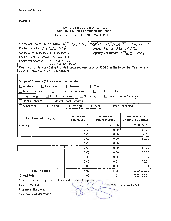#### New York State Consultant Services Contractor's Annual Employment Report

Report Period: April 1, 2018 to March 31. 2019

| Contracting State Agency Name: Office For People w/Dev. Dischilities                                                                          |                               |                                  |                                                    |  |
|-----------------------------------------------------------------------------------------------------------------------------------------------|-------------------------------|----------------------------------|----------------------------------------------------|--|
| Contract Number: CLCO002<br>Agency Business Unit: OPDOL                                                                                       |                               |                                  |                                                    |  |
| Agency Department ID. 3660243<br>Contract Term: 3/25/2018 to 3/31/2019                                                                        |                               |                                  |                                                    |  |
| Contractor Name: Winston & Strawn LLP                                                                                                         |                               |                                  |                                                    |  |
| <b>Contractor Address:</b><br>200 Park Avenue<br>New York, NY 10166                                                                           |                               |                                  |                                                    |  |
| Description of Services Being Provided: Legal representation of JCOPE in The November Team et al. v.<br>JCOPE, Index No. 16 Civ. 1739 (SDNY). |                               |                                  |                                                    |  |
|                                                                                                                                               |                               |                                  |                                                    |  |
| Scope of Contract (Choose one that best fits):                                                                                                |                               |                                  |                                                    |  |
| Analysis<br>Evaluation                                                                                                                        | Research                      | Training                         |                                                    |  |
|                                                                                                                                               |                               |                                  |                                                    |  |
| Data Processing                                                                                                                               | Computer Programming          | □Other IT consulting             |                                                    |  |
| Engineering<br><b>Architect Services</b>                                                                                                      | Surveying<br>L                |                                  | <b>Environmental Services</b>                      |  |
| <b>Health Services</b>                                                                                                                        | Mental Health Services        |                                  |                                                    |  |
| Accounting<br>Auditing                                                                                                                        | Paralegal                     | X Legal                          | Other Consulting                                   |  |
|                                                                                                                                               |                               |                                  |                                                    |  |
| <b>Employment Category</b>                                                                                                                    | Number of<br><b>Employees</b> | Number of<br><b>Hours Worked</b> | <b>Amount Payable</b><br><b>Under the Contract</b> |  |
| Attorney                                                                                                                                      | 4.00                          | 461.50                           | \$300,000.00                                       |  |
|                                                                                                                                               | 0.00                          | 0.00                             | \$0.00                                             |  |
| 0.00<br>0.00<br>\$0.00                                                                                                                        |                               |                                  |                                                    |  |
|                                                                                                                                               | 0.00<br>\$0.00<br>0.00        |                                  |                                                    |  |
|                                                                                                                                               | 0.00                          | 0.00                             | \$0.00                                             |  |
|                                                                                                                                               | 0.00                          | 0.00                             | \$0.00                                             |  |
|                                                                                                                                               | 0.00                          | 0.00                             | \$0.00                                             |  |
|                                                                                                                                               | 0.00                          | 0.00                             | \$0.00                                             |  |
|                                                                                                                                               | 0.00                          | 0.00                             | \$0.00                                             |  |
|                                                                                                                                               | 0.00                          | 0.00                             | \$0.00                                             |  |
| Total this page                                                                                                                               | 4.00                          | 461.5                            | \$300,000.00                                       |  |
| <b>Grand Total</b>                                                                                                                            | 4.00                          | 461                              | \$300,000.00                                       |  |
| Name of person who prepared this report:                                                                                                      | Seth E. Spitzer               |                                  |                                                    |  |
| Title:<br>Partner                                                                                                                             |                               | Phone #:                         | (212) 294-5375                                     |  |
| Preparer's Signature:                                                                                                                         |                               |                                  |                                                    |  |
| Date Prepared: 4/23/2018                                                                                                                      |                               |                                  |                                                    |  |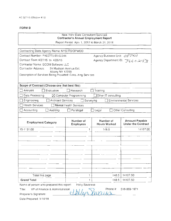#### New York State Consultant Services **Contractor's Annual Employment Report**

Report Period: April 1, 2017 to March 31, 2018.

| Contracting State Agency Name: NYS ITS/OPWDD                                   |                               |   |                                  |                                                    |  |  |
|--------------------------------------------------------------------------------|-------------------------------|---|----------------------------------|----------------------------------------------------|--|--|
| Agency Business Unit: 08701<br>Contract Number: PH65771 03-02244               |                               |   |                                  |                                                    |  |  |
| Contract Term: 4/27/15 to 4/26/15                                              |                               |   |                                  | Agency Department ID: 3660243                      |  |  |
| Contractor Name: GCOM Software LLC                                             |                               |   |                                  |                                                    |  |  |
| Contractor Address:<br>24 Madison Avenue Ext.                                  |                               |   |                                  |                                                    |  |  |
| Albany NY 12203<br>Description of Services Being Provided: Consulting Services |                               |   |                                  |                                                    |  |  |
|                                                                                |                               |   |                                  |                                                    |  |  |
| Scope of Contract (Choose one that best fits):                                 |                               |   |                                  |                                                    |  |  |
|                                                                                |                               |   |                                  |                                                    |  |  |
| Analysis<br>Evaluation                                                         | Research                      |   | Training                         |                                                    |  |  |
| Data Processing                                                                | ⊠ Computer Programming        |   | Other IT consulting              |                                                    |  |  |
| Engineering<br><b>Architect Services</b>                                       |                               |   | Surveying                        | <b>Environmental Services</b>                      |  |  |
| <b>Health Services</b>                                                         | <b>Mental Health Services</b> |   |                                  |                                                    |  |  |
| Accounting<br>Auditing                                                         | $\Box$ Paralegal              |   | $\Box$ Legal                     | □ Other Consulting                                 |  |  |
|                                                                                |                               |   |                                  |                                                    |  |  |
| <b>Employment Category</b>                                                     | Number of<br><b>Employees</b> |   | Number of<br><b>Hours Worked</b> | <b>Amount Payable</b><br><b>Under the Contract</b> |  |  |
| 15-1131.00                                                                     |                               | 1 | 148.5                            | 14107.50                                           |  |  |
|                                                                                |                               |   |                                  |                                                    |  |  |
|                                                                                |                               |   |                                  |                                                    |  |  |
|                                                                                |                               |   |                                  |                                                    |  |  |
|                                                                                |                               |   |                                  |                                                    |  |  |
|                                                                                |                               |   |                                  |                                                    |  |  |
|                                                                                |                               |   |                                  |                                                    |  |  |
|                                                                                |                               |   |                                  |                                                    |  |  |
|                                                                                |                               |   |                                  |                                                    |  |  |
|                                                                                |                               |   |                                  |                                                    |  |  |
| Total this page                                                                |                               | 1 | 148.5                            | 14107.50                                           |  |  |
| <b>Grand Total</b>                                                             |                               | 1 | 148.5                            | 14107.50                                           |  |  |
| Name of person who prepared this report:                                       | Holly Savarese                |   |                                  |                                                    |  |  |

Name of person who prepared this report: Holly Savarese<br>Title: VP of Finance & Administration **Phone #: 518-86**<br>Preparer's Signature: <u>CUALLY STILLING</u>

518-869-1671

Date Prepared: 5/10/18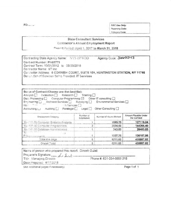$FOU =$ 

**GSC Use Only:** Reporting Code: Category Code:

#### **State Consultant Services** Contractor's Annual Employment Report

Pence Period: April 1, 2017 to March 31, 2018

Agency Code: 3000243 Contracting State Agency Name: NYS OPWDD Contract Number, PH65773 Contract Term: 10/01/2012 to 09/30/2018 Contractor Name: IiT Inc. Contractor Address. 6 CORNISH COURT, SUITE 101, HUNTINGTON STATION, NY 11746 Denumition of Services Being Provided: IT Services

| Scope of Contract (Choose one that best fits):<br>Analysis <b>C</b> Evaluation Research Training<br>Data Processing $\Box$ Computer Programming $\boxtimes$ Other IT consulting $\Box$<br>Engineering <b>Exercise Contact Services</b> Conveying <b>Exercise Contact Services</b> Constant Contact Services Constant<br>n Services<br>Ha I<br>Auditing Parategal Legal<br>Accounting L.J. |                        | Other Consulting       |                                      |
|-------------------------------------------------------------------------------------------------------------------------------------------------------------------------------------------------------------------------------------------------------------------------------------------------------------------------------------------------------------------------------------------|------------------------|------------------------|--------------------------------------|
| Employment Category                                                                                                                                                                                                                                                                                                                                                                       | Number of<br>Employees | Number of Hours Worked | Amount Payable Under<br>the Contract |
| 15-1121.00 Computer Systems Analysts                                                                                                                                                                                                                                                                                                                                                      |                        | 1895.75                | 127110.04                            |
| 15-1131.00 Computer Programmers                                                                                                                                                                                                                                                                                                                                                           |                        | 2034.50                | 144266.40                            |
| 15-1141.00 Database Administrators                                                                                                                                                                                                                                                                                                                                                        |                        | 343.00                 | 28403.83                             |
| COLORADO E<br>$15 -$<br>Propositions and                                                                                                                                                                                                                                                                                                                                                  |                        | 1937.75                | 136107.56                            |
| Total this page                                                                                                                                                                                                                                                                                                                                                                           |                        | 6211.00                | 435887.82                            |
| Grand Total                                                                                                                                                                                                                                                                                                                                                                               | 院                      | 6211.00                | 435887.82                            |

| Name of person who prepared this report: Dinesh Gulati        |                           |
|---------------------------------------------------------------|---------------------------|
| Preparer's Signature. _ Au Suich -<br>Title Managing Director | Phone #: 631-254-8600 215 |
| Date Prepared: 4/17/2018                                      |                           |
| Use additional pages if necessary).                           | Page 1 of 1               |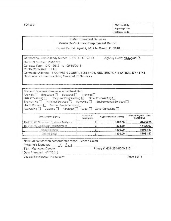FORM 3

**OSC Use Only:** Reporting Code: Category Code:

#### **State Consultant Services** Contractor's Annual Employment Report

Report Period: April 1, 2017 to March 31, 2018

Contracting State Agency Name: NYS ITS.OPWDD Agency Code: 3lolo0243 Contract Number, PH66773 Contract Term, 10/01/2012 to 09/30/2018 Contractor Name: IIT Inc. Contractor Address: 6 CORNISH COURT, SUITE 101, HUNTINGTON STATION, NY 11746 Description of Services Being Provided: IT Services

| Soche of Commact (Choose one that best fits):<br>Analysis   Evaluation   Research   Training  <br>Data Processing $\Box$ Computer Programming $\boxtimes$ Other IT consulting $\Box$<br>Engineering <sup>2</sup> Architect Services <sup>2</sup> Surveying <b>2</b> Environmental Services <sup>1</sup><br>Health Services [ ] Menta, Health Services [ ]<br>Accounting Auditing T Paralegal Legal Other Consulting |                        |                        |                                      |
|---------------------------------------------------------------------------------------------------------------------------------------------------------------------------------------------------------------------------------------------------------------------------------------------------------------------------------------------------------------------------------------------------------------------|------------------------|------------------------|--------------------------------------|
| Employment Calegory                                                                                                                                                                                                                                                                                                                                                                                                 | Number of<br>Employees | Number of Hours Worked | Amount Payable Under<br>the Contract |
|                                                                                                                                                                                                                                                                                                                                                                                                                     |                        |                        |                                      |
| 15-1121.00 Computer Systems Analysts                                                                                                                                                                                                                                                                                                                                                                                |                        | 1028.50                |                                      |
|                                                                                                                                                                                                                                                                                                                                                                                                                     | 2                      | 272.50                 | 64486.95<br>17496.92                 |
| 15-1131.00 Computer Programmers<br>Total this page                                                                                                                                                                                                                                                                                                                                                                  | з                      | 1301.00                | 81983,87                             |

| I Name of berson who prepared this report: Dinesh Guiati |                           |
|----------------------------------------------------------|---------------------------|
| Preparer's Signature: and Late                           |                           |
| Title: Managing Director                                 | Phone #: 631-254-8600 215 |
| Date Prepared: 4/17/2018                                 |                           |
|                                                          |                           |

Use accitional pages if nacessary)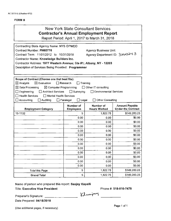| New York State Consultant Services<br><b>Contractor's Annual Employment Report</b><br>Report Period: April 1, 2017 to March 31, 2018                                                                                                                                                                                                                                                                                                                                                      |                                                  |                                  |                                                    |  |  |  |
|-------------------------------------------------------------------------------------------------------------------------------------------------------------------------------------------------------------------------------------------------------------------------------------------------------------------------------------------------------------------------------------------------------------------------------------------------------------------------------------------|--------------------------------------------------|----------------------------------|----------------------------------------------------|--|--|--|
| Contracting State Agency Name: NYS OPWDD<br>Contract Number: PH65776<br><b>Agency Business Unit:</b><br>Agency Department ID: 3000243<br>Contract Term: 11/01/2012 to 10/31/2018<br>Contractor Name: Knowledge Builders Inc.<br>Contractor Address: 1977 Western Avenue; Ste #1; Albany, NY - 12203<br>Description of Services Being Provided: Programmer                                                                                                                                 |                                                  |                                  |                                                    |  |  |  |
| Scope of Contract (Choose one that best fits):<br>$\boxtimes$ Evaluation<br>$\Box$ Research<br>$\boxtimes$ Analysis<br>Training<br>$\boxtimes$ Computer Programming<br>$\boxtimes$ Data Processing<br>$\Box$ Other IT consulting<br>$\Box$ Surveying<br>$\Box$ Engineering<br>Architect Services<br>TEnvironmental Services<br><b>Health Services</b><br><b>Mental Health Services</b><br>$\Box$ Accounting<br>$\Box$ Paralegal<br>$\square$ Legal<br><b>Other Consulting</b><br>Auditing |                                                  |                                  |                                                    |  |  |  |
| <b>Employment Category</b>                                                                                                                                                                                                                                                                                                                                                                                                                                                                | <b>Number of</b><br><b>Employees</b>             | Number of<br><b>Hours Worked</b> | <b>Amount Payable</b><br><b>Under the Contract</b> |  |  |  |
| 15-1132                                                                                                                                                                                                                                                                                                                                                                                                                                                                                   | 5                                                | 1,822.75                         | \$149,283.23                                       |  |  |  |
|                                                                                                                                                                                                                                                                                                                                                                                                                                                                                           | 0.00                                             | 0.00                             | \$0.00                                             |  |  |  |
|                                                                                                                                                                                                                                                                                                                                                                                                                                                                                           | 0.00                                             | 0.00                             | \$0.00                                             |  |  |  |
|                                                                                                                                                                                                                                                                                                                                                                                                                                                                                           | 0.00                                             | 0.00                             | \$0.00                                             |  |  |  |
|                                                                                                                                                                                                                                                                                                                                                                                                                                                                                           | 0.00                                             | 0.00                             | \$0.00                                             |  |  |  |
|                                                                                                                                                                                                                                                                                                                                                                                                                                                                                           | 0.00                                             | 0.00                             | \$0.00                                             |  |  |  |
|                                                                                                                                                                                                                                                                                                                                                                                                                                                                                           | 0.00<br>\$0.00<br>0.00                           |                                  |                                                    |  |  |  |
|                                                                                                                                                                                                                                                                                                                                                                                                                                                                                           | \$0.00<br>0.00<br>0.00                           |                                  |                                                    |  |  |  |
|                                                                                                                                                                                                                                                                                                                                                                                                                                                                                           | 0.00<br>0.00<br>\$0.00<br>0.00<br>0.00<br>\$0.00 |                                  |                                                    |  |  |  |
|                                                                                                                                                                                                                                                                                                                                                                                                                                                                                           | 0.00                                             | 0.00                             | \$0.00                                             |  |  |  |
|                                                                                                                                                                                                                                                                                                                                                                                                                                                                                           | 0.00                                             | 0.00                             | \$0.00                                             |  |  |  |
|                                                                                                                                                                                                                                                                                                                                                                                                                                                                                           | 0.00                                             | 0.00                             | \$0.00                                             |  |  |  |
| <b>Total this Page</b>                                                                                                                                                                                                                                                                                                                                                                                                                                                                    | 5                                                | 1,822.75                         | \$149,283.23                                       |  |  |  |
| <b>Grand Total</b>                                                                                                                                                                                                                                                                                                                                                                                                                                                                        | 5                                                | 1,822.75                         | \$149,283.23                                       |  |  |  |

Name of person who prepared this report: Sanjay Kapalli

Title: Executive Vice President

Phone#: 518-810-7478

Preparer's Signature: ---------

Date Prepared: 04/18/2018

(Use additional pages, if necessary)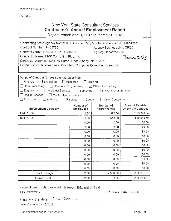## **New York State Consultant Services Contractor's Annual Employment Report**

Report Period: April 1, 2017 to March 31, 2018

| Contracting State Agency Name: ITS/Office for People with Developmental Disabilities |                              |                                  |                                             |  |  |  |
|--------------------------------------------------------------------------------------|------------------------------|----------------------------------|---------------------------------------------|--|--|--|
| Contract Number: PH65780<br>Agency Business Unit: OPD01                              |                              |                                  |                                             |  |  |  |
| Contract Term: 11/1/2012 to 10/31/18                                                 |                              | Agency Department ID:            |                                             |  |  |  |
| Contractor Name: MVP Consulting Plus, Inc.                                           |                              |                                  | 3660243                                     |  |  |  |
| Contractor Address: 435 New Karner Road Albany, NY 12205                             |                              |                                  |                                             |  |  |  |
| Description of Services Being Provided: Computer Consulting (Various)                |                              |                                  |                                             |  |  |  |
|                                                                                      |                              |                                  |                                             |  |  |  |
|                                                                                      |                              |                                  |                                             |  |  |  |
| Scope of Contract (Choose one that best fits):<br>$\Box$ Analysis<br>Evaluation      | $\Box$ Research              | Training                         |                                             |  |  |  |
| Data Processing<br>Computer Programming                                              |                              | ⊠ Other IT consulting            |                                             |  |  |  |
| Engineering<br><b>Architect Services</b>                                             | $\Box$ Surveying             | <b>Environmental Services</b>    |                                             |  |  |  |
| Health Services. ]<br>□ Mental Health Services                                       |                              |                                  |                                             |  |  |  |
| Accounting<br>Auditing                                                               | Paralegal<br>$\square$ Legal | Other Consulting                 |                                             |  |  |  |
|                                                                                      |                              |                                  |                                             |  |  |  |
| <b>Employment Category</b>                                                           | Number of<br>Employees       | Number of<br><b>Hours Worked</b> | Amount Payable<br><b>Under the Contract</b> |  |  |  |
| 15-1131.00                                                                           | 1.00.                        | 1,993.00                         | \$133,291.84                                |  |  |  |
| 15-1151.00                                                                           | 1.00                         | 543.00                           | \$46,969.50                                 |  |  |  |
|                                                                                      | 0.00                         | 0.00                             | \$0.00                                      |  |  |  |
|                                                                                      | 0.00                         | 0.00                             | \$0.00                                      |  |  |  |
|                                                                                      | 0.00                         | 0.00                             | \$0.00                                      |  |  |  |
|                                                                                      | 0.00                         | 0.00                             | \$0.00                                      |  |  |  |
|                                                                                      | \$0.00<br>0.00<br>0.00.      |                                  |                                             |  |  |  |
|                                                                                      | 0.00                         | 0.00                             | \$0.00                                      |  |  |  |
|                                                                                      | 0.00                         | 0.00                             | \$0.00                                      |  |  |  |
|                                                                                      | \$0.00<br>0.00<br>0.00       |                                  |                                             |  |  |  |
|                                                                                      | 0.00                         | 0.00                             | \$0.00                                      |  |  |  |
|                                                                                      | 0.00                         | 0.00                             | \$0.00                                      |  |  |  |
|                                                                                      | 0.00                         | 0.00                             | \$0.00                                      |  |  |  |
| Total this Page                                                                      | 2.00                         | 2,536.00                         | \$180,261.34                                |  |  |  |
|                                                                                      |                              |                                  |                                             |  |  |  |

Name of person who prepared this report: Ilakumari N. Patel

Title: CEO/CFO

Phone #: 518-218-1700

Preparer's Signature: ENRater

Date Prepared: 4/17/2018

(Use additional pages, if necessary)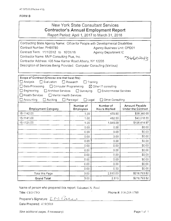| New York State Consultant Services    |
|---------------------------------------|
| Contractor's Annual Employment Report |
|                                       |

Report Period: April 1, 2017 to March 31, 2018

| Contracting State Agency Name: Office for People with Developmental Disabilities |                               |                                  |                                             |  |  |
|----------------------------------------------------------------------------------|-------------------------------|----------------------------------|---------------------------------------------|--|--|
| Contract Number: PH65780<br>Agency Business Unit: OPD01                          |                               |                                  |                                             |  |  |
| Contract Term: 11/1/2012 to 10/31/18<br>Agency Department ID                     |                               |                                  |                                             |  |  |
| Contractor Name: MVP Consulting Plus, Inc.                                       |                               |                                  | *3660243                                    |  |  |
| Contractor Address: 435 New Karner Road Albany, NY 12205                         |                               |                                  |                                             |  |  |
| Description of Services Being Provided: Computer Consulting (Various)            |                               |                                  |                                             |  |  |
|                                                                                  |                               |                                  |                                             |  |  |
|                                                                                  |                               |                                  |                                             |  |  |
| Scope of Contract (Choose one that best fits):                                   |                               |                                  |                                             |  |  |
| $\Box$ Analysis<br>Evaluation                                                    | Research                      | Training                         |                                             |  |  |
| □ Data Processing<br>□ Computer Programming                                      |                               | $\boxtimes$ Other IT consulting  |                                             |  |  |
| Engineering<br>□ Architect Services □ Surveying                                  |                               | Environmental Services           |                                             |  |  |
| □ Health Services<br>Mental Health Services                                      |                               |                                  |                                             |  |  |
| Accounting<br>Auditing                                                           | Paralegal<br>$\Box$ Legal     | Other Consulting                 |                                             |  |  |
| <b>Employment Category</b>                                                       | Number of<br><b>Employees</b> | Number of<br><b>Hours Worked</b> | Amount Payable<br><b>Under the Contract</b> |  |  |
| 15-1142.00                                                                       | 1.00                          | 479.50                           | \$38,360.00                                 |  |  |
| 15-1141.00                                                                       | 1.00                          | 482.50                           | \$40,018.55                                 |  |  |
| 15-1121.00                                                                       | 1.00                          | 1,848.00                         | \$138,414.97                                |  |  |
|                                                                                  | 0.00                          | 0.00                             | \$0.00                                      |  |  |
|                                                                                  | 0.00                          | 0.00                             | \$0.00                                      |  |  |
|                                                                                  | 0.00                          | 0.00                             | \$0.00                                      |  |  |
|                                                                                  | 0.00                          | 0.00                             | \$0.00                                      |  |  |
|                                                                                  | 0.00.                         | 0.00                             | \$0.00                                      |  |  |
|                                                                                  | 0.00                          | 0.00                             | \$0.00                                      |  |  |
|                                                                                  | \$0.00<br>0.00<br>0.00.       |                                  |                                             |  |  |
|                                                                                  | \$0.00<br>0.00<br>0.00        |                                  |                                             |  |  |
|                                                                                  | 0.00                          | 0.00                             | \$0.00                                      |  |  |
|                                                                                  | 0.00.                         | 0.00                             | \$0.00                                      |  |  |
| Total this Page                                                                  | 3.00                          | 2,810.00                         | \$216,793.52                                |  |  |
| <b>Grand Total</b>                                                               | 3.00                          | 2,810                            | \$216,793.52                                |  |  |

Name of person who prepared this report: Ilakumari N. Patel

Title: CEO/CFO

Phone #: 518-218-1700

Preparer's Signature: EN Patel Date Prepared: 4/19/2018

(Use additional pages, if necessary).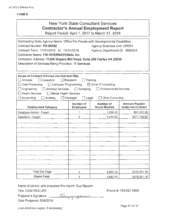#### F<sub>C</sub>

| <b>FORM B</b>                                                                                                                                                                                                                                                                                                                                                                                                                  |                               |                                                              |                                                    |  |
|--------------------------------------------------------------------------------------------------------------------------------------------------------------------------------------------------------------------------------------------------------------------------------------------------------------------------------------------------------------------------------------------------------------------------------|-------------------------------|--------------------------------------------------------------|----------------------------------------------------|--|
| <b>New York State Consultant Services</b><br><b>Contractor's Annual Employment Report</b><br>Report Period: April 1, 2017 to March 31, 2018                                                                                                                                                                                                                                                                                    |                               |                                                              |                                                    |  |
| Contracting State Agency Name: Office For People with Developmental Disabilities<br>Contract Number: PH 65782<br>Contract Term: 11/01/2012 to 10/31/2018<br>Contractor Name: PSI INTERNATIONAL Inc.<br>Contractor Address: 11200 Waples Mill Road, Suite 200 Fairfax VA 22030<br>Description of Services Being Provided: IT Services                                                                                           |                               | Agency Business Unit: OPD01<br>Agency Department ID: 3660243 |                                                    |  |
| Scope of Contract (Choose one that best fits):<br>Analysis<br>$\Box$ Evaluation<br>1 Research<br>Training<br>Data Processing<br>$\Box$ Computer Programming<br>$\boxtimes$ Other IT consulting<br><b>Architect Services</b><br>Engineering<br>$\Box$ Surveying<br><b>Environmental Services</b><br><b>Health Services</b><br>Mental Health Services<br>Accounting<br>Other Consulting<br>Auditing<br>Paralegal<br>$\Box$ Legat |                               |                                                              |                                                    |  |
| <b>Employment Category</b>                                                                                                                                                                                                                                                                                                                                                                                                     | Number of<br><b>Employees</b> | Number of<br><b>Hours Worked</b>                             | <b>Amount Payable</b><br><b>Under the Contract</b> |  |
| Database Admin - Expert                                                                                                                                                                                                                                                                                                                                                                                                        | 1                             | 1,268.50                                                     | \$97,522.28                                        |  |
| Specialist - Expert                                                                                                                                                                                                                                                                                                                                                                                                            | $\overline{2}$                | 3,414.00                                                     | \$277,728.90                                       |  |
| Total this Page                                                                                                                                                                                                                                                                                                                                                                                                                | 3                             | 4,682.50                                                     | \$375,251.18                                       |  |
| <b>Grand Total</b>                                                                                                                                                                                                                                                                                                                                                                                                             | 3                             | 4,682.50                                                     | \$375,251.18                                       |  |

Name of person who prepared this report: Quy Nguyen

<sup>J</sup>*J u* 

Title: CONTROLLER

Phone #: 703-621-5855

Preparer's Signature: \_\_\_ Date Prepared: 05/8/2018

(Use additional pages, if necessary) example of the extra set of 01 page 01 of 01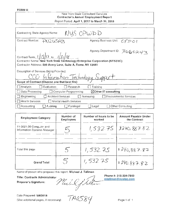#### New York State Consultant Services Contractor's Annual Employment Report Report Period: April 1, 2017 to March 31, 2018

| NUS OPWDD<br>Contracting State Agency Name:                                                                                                                                        |                                 |  |  |  |
|------------------------------------------------------------------------------------------------------------------------------------------------------------------------------------|---------------------------------|--|--|--|
| Contract Number: PNZUSAB                                                                                                                                                           | Agency Business Unit: CYDO!     |  |  |  |
|                                                                                                                                                                                    | Agency Department ID: 3660243   |  |  |  |
| Contract Term, $1/15/17$ to $1/31/18$<br>Contractor Name: New York State Technology Enterprise Corporation (NYSTEC)<br>Contractor Address: 500 Avery Lane, Suite A, Rome, NY 13441 |                                 |  |  |  |
| Description of Services Being Provided:<br>CCO Information Technology Support                                                                                                      |                                 |  |  |  |
| Scope of Contract (Choose one that best fits):                                                                                                                                     |                                 |  |  |  |
| Evaluation<br>∐ Analysis.<br>Research                                                                                                                                              | Training                        |  |  |  |
| Data Processing<br>□ Computer Programming                                                                                                                                          | $\boxtimes$ Other IT consulting |  |  |  |
| Architect Services<br>Engineering<br>$\Box$ Surveying                                                                                                                              | <b>Environmental Services</b>   |  |  |  |
| Health Services<br>□ Mental Health Services                                                                                                                                        |                                 |  |  |  |
| Auditing<br>$\Box$ Accounting<br>$\Box$ Paralegal                                                                                                                                  | Other Consulting<br>Legal       |  |  |  |

| <b>Employment Category</b>                             | Number of<br><b>Employees</b> | Number of hours to be<br>worked | <b>Amount Payable Under</b><br>the Contract |
|--------------------------------------------------------|-------------------------------|---------------------------------|---------------------------------------------|
| 11-3021.00 Computer and<br>Information Systems Manager |                               | 1,532.75                        | 3240,887.82                                 |
|                                                        |                               |                                 |                                             |
| Total this page                                        | $5^{\circ}$                   | 1,532.75                        | \$240,887.82                                |
| <b>Grand Total</b>                                     | $\mathcal{S}$                 | 1,532.75                        | 1\$240.887.82                               |

Name of person who prepared this report: Michael J. Tallman Phone #: 315-334-7843<br>Title: Contracts Administrator Phone #: 315-334-7843  $\begin{array}{c} \mathcal{M} \rightarrow \mathcal{M} \rightarrow \mathcal{M} \end{array}$ Name of person who prepared this report: Michael J. Tallman<br>Title: Contracts Administrator<br>Preparer's Signature: *Michael J. Jullium* mtallman

Date Prepared: 5/8/2018 (Use additional pages, if necessary)  $P^*Q \rightarrow Q$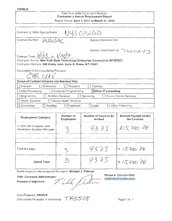#### New York State Consultant Services Contractor's Annual Employment Report Report Period: April 1, 2017 to March 31, 2018

| NYS OPWDD<br>Contracting State Agency Name:                                |                                            |  |  |  |
|----------------------------------------------------------------------------|--------------------------------------------|--|--|--|
| PN20SAC<br>Contract Number:                                                | <b>Agency Business Unit:</b>               |  |  |  |
| Contract Term: $6/1/15$ to $6/30/17$                                       | Agency Department ID: 3660243              |  |  |  |
| Contractor Name: New York State Technology Enterprise Corporation (NYSTEC) |                                            |  |  |  |
| Contractor Address: 500 Avery Lane, Suite A, Rome, NY 13441                |                                            |  |  |  |
| Description of Services Being Provided:                                    |                                            |  |  |  |
| CHR IVAV                                                                   |                                            |  |  |  |
| Scope of Contract (Choose one that best fits):                             |                                            |  |  |  |
| $\Box$ Analysis<br>Evaluation<br>Research                                  | Training                                   |  |  |  |
| Data Processing<br>$\Box$ Computer Programming                             | $\boxtimes$ Other IT consulting            |  |  |  |
| $\Box$ Architect Services<br>Engineering                                   | <b>Environmental Services</b><br>Surveying |  |  |  |
| <b>Health Services</b><br>Mental Health Services                           |                                            |  |  |  |
| $\Box$ Accounting<br><b>Audiling</b><br>$\Box$ Paralegal                   | Other Consulting<br>Legal                  |  |  |  |

| <b>Employment Category</b>                             | Number of<br><b>Employees</b> | Number of hours to be<br>worked | <b>Amount Payable Under</b><br>the Contract |
|--------------------------------------------------------|-------------------------------|---------------------------------|---------------------------------------------|
| 11-3021.00 Computer and<br>Information Systems Manager |                               | 93.75                           | 815,780.78                                  |
|                                                        |                               |                                 |                                             |
| Total this page                                        |                               | 9375                            | 5/5.780.78                                  |
| <b>Grand Total</b>                                     | 2                             | 9375                            | 815780.78                                   |

Name of person who prepared this report: Michael J. Tallman  $\begin{array}{c}\n\text{Iichael J. Tallman} \\
\hline\n\end{array}$ 

Title: Contracts Administrator

Title: Contracts Administrator<br>Preparer's Signature: *Multive* / /t.all //

Phone#: 315-334-7843 [mtallman@nystec.com](mailto:mtallman@nystec.com)

Date Prepared: 5/8/2018 (Use additional pages, if necessary)  $\tau$  A&508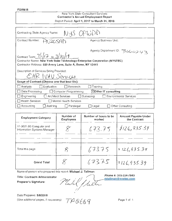#### New York State Consultant Services Contractor's Annual Employment Report Report Period: April 1, 2017 to March 31, 2018

| NYS OPWDD<br>Contracting State Agency Name:                                                                                               |                               |
|-------------------------------------------------------------------------------------------------------------------------------------------|-------------------------------|
| Contract Number:<br>PAIZOSAD                                                                                                              | <b>Agency Business Unit:</b>  |
| Contract Term: $7/(\sqrt{17} - 6.3/30)/19$                                                                                                | Agency Department ID: 3660243 |
| Contractor Name: New York State Technology Enterprise Corporation (NYSTEC)<br>Contractor Address: 500 Avery Lane, Suite A, Rome, NY 13441 |                               |
| Description of Services Being Provided:                                                                                                   |                               |
| CHR IVAV Services                                                                                                                         |                               |
| Scope of Contract (Choose one that best fits):                                                                                            |                               |
| Evaluation<br>Analysis<br>Research                                                                                                        | Training                      |
| Data Processing<br>Computer Programming                                                                                                   | ⊠Other IT consulting          |
| Engineering<br><b>Architect Services</b><br>Surveying                                                                                     | <b>Environmental Services</b> |
| <b>Health Services</b><br>Mental Health Services                                                                                          |                               |
| $\Box$ Accounting<br>Aud ting<br>Paralegal                                                                                                | Other Consulting<br>Legal     |

| <b>Employment Category</b>                             | Number of<br><b>Employees</b> | Number of hours to be<br>worked | <b>Amount Payable Under</b><br>the Contract |
|--------------------------------------------------------|-------------------------------|---------------------------------|---------------------------------------------|
| 11-3021.00 Computer and<br>Information Systems Manager |                               | 673.75                          | 1126,935.39                                 |
|                                                        |                               |                                 |                                             |
| Total this page                                        | ℅                             | 67375                           | 8126,935.39                                 |
| <b>Grand Total</b>                                     |                               | 673.75                          | \$126,935.39                                |

Name of person who prepared this report: Michael J. Tallman

Title: Contracts Administrator Phone #: 315-334-7843 Title: Contracts Administrator Phone #: 315-334-7843<br>Preparer's Signature: *Mark A, Ma* 

Date Prepared: 5/8/2018

(Use additional pages, if necessary)  $T A \& C C$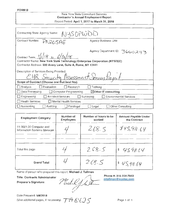#### New York State Consultant Services Contractor's Annual Employment Report Report Period: April 1, 2017 to March 31, 2018

| Contracting State Agency Name: NWSOPWDD                                    |                                  |
|----------------------------------------------------------------------------|----------------------------------|
| Contract Number:<br>PNIZOSAE                                               | <b>Agency Business Unit:</b>     |
| Contract Term: $1/118$ to $6/30/18$                                        | Agency Department ID: 3660243    |
| Contractor Name: New York State Technology Enterprise Corporation (NYSTEC) |                                  |
| Contractor Address: 500 Avery Lane, Suite A, Rome, NY 13441                |                                  |
| Description of Services Being Provided:                                    |                                  |
| EHR Security Assessment Services Project                                   |                                  |
| Scope of Contract (Choose one that best fits):                             |                                  |
| $\Box$ Analysis<br>Evaluation<br>Research                                  | Train.ng                         |
| Data Processing<br>Computer Programming                                    | $\boxtimes$ Other IT consulting  |
| $\Box$ Engineering<br><b>Architect Services</b><br>$\Box$ Surveying        | <b>Environmental Services</b>    |
| □ Health Services<br>Mental Health Services                                |                                  |
| $\Box$ Accounting<br>Auditing<br>$\Box$ Paralegal                          | <b>Other Consulting</b><br>Legal |

| <b>Employment Category</b>                             | Number of<br><b>Employees</b> | Number of hours to be<br>worked | Amount Payable Under<br>the Contract |
|--------------------------------------------------------|-------------------------------|---------------------------------|--------------------------------------|
| 11-3021.00 Computer and<br>Information Systems Manager |                               | 268.5                           | 845,911.64                           |
| Total this page                                        |                               | 268.5                           | \$45,91.19                           |
| <b>Grand Total</b>                                     |                               | 268.5                           | \$45,911.64                          |

Name of person who prepared this report: Michael J. Tallman

Title: Contracts Administrator

Preparer's Signature:

Michel J helt

Phone#: 315-334-7843 [mtallman@nystec.com](mailto:mtallman@nystec.com)

Date Prepared: 5/8/2018

(Use additional pages, if necessary)  $~\mathcal{T}$   $\mathcal{A}$   $\mathcal{C}$   $\mathcal{C}$   $\mathcal{S}$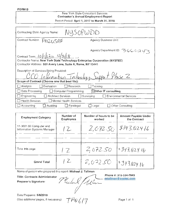#### New York State Consultant Services Contractor's Annual Employment Report Report Period: April 1, 2017 to March 31, 2018

| NYSOPWDD<br>Contracting State Agency Name:                                                                                                                                                                  |                                 |
|-------------------------------------------------------------------------------------------------------------------------------------------------------------------------------------------------------------|---------------------------------|
| Contract Number:<br>PNZOSAF                                                                                                                                                                                 | <b>Agency Business Unit:</b>    |
|                                                                                                                                                                                                             | Agency Department ID: 3660243   |
| Contract Term: $10 \left  \frac{12}{50} \frac{23}{16} \right $<br>Contractor Name: New York State Technology Enterprise Corporation (NYSTEC)<br>Contractor Address: 500 Avery Lane, Suite A, Rome, NY 13441 |                                 |
| Description of Services Being Provided:<br>CCO Information Technology Support Phase Z                                                                                                                       |                                 |
| Scope of Contract (Choose one that best fits):                                                                                                                                                              |                                 |
| $\Box$ Analysis<br>Evaluation<br>Research                                                                                                                                                                   | Training                        |
| Data Processing<br>Computer Programming                                                                                                                                                                     | $\boxtimes$ Other IT consulting |
| Engineering<br>Architect Services<br>$\Box$ Surveying                                                                                                                                                       | <b>Environmental Services</b>   |
| <b>Health Services</b><br>Mental Health Services                                                                                                                                                            |                                 |
| Auditing<br>$\Box$ Accounting<br>Paralegal                                                                                                                                                                  | Other Consulting<br>Legal       |

| <b>Employment Category</b>                             | Number of<br><b>Employees</b> | Number of hours to be<br>worked | <b>Amount Payable Under</b><br>the Contract |
|--------------------------------------------------------|-------------------------------|---------------------------------|---------------------------------------------|
| 11-3021.00 Computer and<br>Information Systems Manager | $12-$                         |                                 | $2,072.50$ \$343.02416                      |
|                                                        |                               |                                 |                                             |
| Tota this page                                         | 17                            | 2,072.50                        | $1$ \$343,024.16                            |
| <b>Grand Total</b>                                     | 1 L                           | 2,07250                         | $1^{\circ}343.02416$                        |

Name of person who prepared this report: Michael J. Tallman

Phone#: 315-334-7843 Title: Contracts Administrator Michael / bille [allman@nystec.com](mailto:allman@nystec.com) Preparer's Signature:

Date Prepared: 5/8/2018 (Use additional pages, if necessary)  $T H V / J$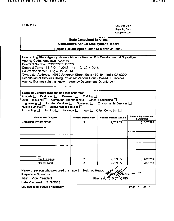OSC Use Only: Reporting Code: Category Code:

#### **State Consultant Services Contractor's Annual Employment Report**

Report Period: April 1, 2017 to March 31, 2018

| Contracting State Agency Name: Office for People With Developmental Disabilities |
|----------------------------------------------------------------------------------|
| Agency Code: xinknown 3660243                                                    |
| Contract Number: PR65777/PH65777                                                 |
| Contract Term: 11 / 01 / 2012 to 10/ 30 / 2018                                   |
| Contractor Name: Logic House Ltd.                                                |
| Contractor Address: 49950 Jefferson Street, Suite 130-391, Indio CA 92201        |
| Description of Services Being Provided: Various Hourly Based IT Services         |
| Agency Business Unit: unknown Agency Department ID: unknown                      |
|                                                                                  |

| Scope of Contract (Choose one that best fits):<br>Analysis □ Evaluation □ Research □ Training □<br>Data Processing $\Box$ Computer Programming X Other IT consulting $\Box$<br>Engineering □ Architect Services □ Surveying □ Environmental Services □<br>Health Services   Mental Health Services  <br>Accounting $\Box$<br>Auditing □ Paralegal □ Legal □ |                     | Other Consulting $\square$    |                                      |
|-------------------------------------------------------------------------------------------------------------------------------------------------------------------------------------------------------------------------------------------------------------------------------------------------------------------------------------------------------------|---------------------|-------------------------------|--------------------------------------|
| <b>Employment Category</b>                                                                                                                                                                                                                                                                                                                                  | Number of Employees | <b>Number of Hours Worked</b> | Amount Payable Under<br>the Contract |
| <b>Computer Programmer</b>                                                                                                                                                                                                                                                                                                                                  | 2                   | 2,789.05                      | \$207,792                            |
|                                                                                                                                                                                                                                                                                                                                                             |                     |                               |                                      |
|                                                                                                                                                                                                                                                                                                                                                             |                     |                               |                                      |
|                                                                                                                                                                                                                                                                                                                                                             |                     |                               |                                      |
|                                                                                                                                                                                                                                                                                                                                                             |                     |                               |                                      |
|                                                                                                                                                                                                                                                                                                                                                             |                     |                               |                                      |
|                                                                                                                                                                                                                                                                                                                                                             |                     |                               |                                      |
|                                                                                                                                                                                                                                                                                                                                                             |                     |                               |                                      |
|                                                                                                                                                                                                                                                                                                                                                             |                     |                               |                                      |
| Total this page                                                                                                                                                                                                                                                                                                                                             | 2                   | 2,789.05                      | \$207,792                            |
| Grand Total                                                                                                                                                                                                                                                                                                                                                 |                     | 2,789.05                      | \$207,792                            |
|                                                                                                                                                                                                                                                                                                                                                             |                     |                               |                                      |

| Name of person who prepared this report: Keith A. House<br>Preparer's Signature : |                        |
|-----------------------------------------------------------------------------------|------------------------|
| Preparer's Signature :_                                                           |                        |
| Title: Vice President                                                             | Phone #: 4310 871-2790 |
| Date Prepared: 5 /7/2018                                                          |                        |
| Use additional pages if necessary)                                                | Page 1 of 1            |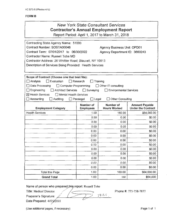|                                                                                                                                                                                                                                                                                       |                                              | <b>New York State Consultant Services</b><br><b>Contractor's Annual Employment Report</b><br>Report Period: April 1, 2017 to March 31, 2018 |                                                    |
|---------------------------------------------------------------------------------------------------------------------------------------------------------------------------------------------------------------------------------------------------------------------------------------|----------------------------------------------|---------------------------------------------------------------------------------------------------------------------------------------------|----------------------------------------------------|
| Contracting State Agency Name: 51000<br>Contract Number: SOSTA00046<br>Contract Term: 07/01/2017 to 06/30/2022<br>Contractor Name: Russell Tobe MD<br>Contractor Address: 26 Whittier Road; Blauvelt, NY 10913<br>Description of Services Being Provided: Health Services             |                                              | <b>Agency Business Unit: OPD01</b><br>Agency Department ID: 3660243                                                                         |                                                    |
| Scope of Contract (Choose one that best fits):<br>$\square$ Analysis<br>$\Box$ Evaluation<br>□ Data Processing<br>Computer Programming<br>Engineering<br>Architect Services □ Surveying<br><b>X</b> Health Services<br>Mental Health Services<br>$\Box$ Accounting<br>$\Box$ Auditing | Research<br>$\Box$ Legal<br>$\Box$ Paralegal | Training<br>□ Other IT consulting<br><b>Environmental Services</b><br>$\Box$ Other Consulting                                               |                                                    |
| <b>Employment Category</b>                                                                                                                                                                                                                                                            | <b>Number of</b><br><b>Employees</b>         | Number of<br><b>Hours Worked</b>                                                                                                            | <b>Amount Payable</b><br><b>Under the Contract</b> |
| <b>Health Services</b>                                                                                                                                                                                                                                                                | 1.00                                         | 160.00                                                                                                                                      | \$64,000.00                                        |
|                                                                                                                                                                                                                                                                                       | 0.00                                         | 0.00                                                                                                                                        | \$0.00                                             |
|                                                                                                                                                                                                                                                                                       | 0.00                                         | 0.00                                                                                                                                        | \$0.00                                             |
|                                                                                                                                                                                                                                                                                       | 0.00                                         | 0.00                                                                                                                                        | \$0.00                                             |
|                                                                                                                                                                                                                                                                                       | 0.00                                         | 0.00                                                                                                                                        | \$0.00                                             |
|                                                                                                                                                                                                                                                                                       | 0.00                                         | 0.00                                                                                                                                        | \$0.00                                             |
|                                                                                                                                                                                                                                                                                       | 0.00                                         | 0.00                                                                                                                                        | \$0.00                                             |
|                                                                                                                                                                                                                                                                                       | 0.00                                         | 0.00                                                                                                                                        | \$0.00                                             |
|                                                                                                                                                                                                                                                                                       | 0.00                                         | 0.00                                                                                                                                        | \$0.00                                             |
|                                                                                                                                                                                                                                                                                       | 0.00                                         | 0.00                                                                                                                                        | \$0.00                                             |
|                                                                                                                                                                                                                                                                                       | 0.00                                         | 0.00                                                                                                                                        | \$0.00                                             |
|                                                                                                                                                                                                                                                                                       | 0.00                                         | 0.00                                                                                                                                        | \$0.00                                             |
|                                                                                                                                                                                                                                                                                       | 0.00                                         | 0.00                                                                                                                                        | \$0.00                                             |
| <b>Total this Page</b>                                                                                                                                                                                                                                                                | 1.00                                         | 160.00                                                                                                                                      | \$64,000.00                                        |
| <b>Grand Total</b>                                                                                                                                                                                                                                                                    | 1.00                                         | 160                                                                                                                                         | \$64,000                                           |

Name of person who prepared this report: Russell Tobe

Title: Medical Director

 $7031$ Preparer's Signature: Date Prepared: 4//25/2018

Phone#: 773-758-7877

(Use additional pages, if necessary) example the control of the Page 1 of 1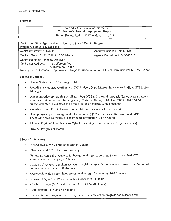#### New York State Consultant Services **Contractor's Annual Employment Report**

Report Period: April 1, 2017 to March 31, 2018

Agency Business Unit: OPD01 Agency Department ID: 3660243

Contracting State Agency Name: New York State Office for People With developmental Disabilities

Contract Number: TLC0015

Contract Term : 01/01/2018 to 06/30/2018

Contractor Name: Rhonda Everdyke

Contractor Address: 16 Jefferson Ave

Geneva, NY 14456

Description of Services Being Provided: Regional Coordinator for National Core Indicator Survey Project

#### **Month I: January**

- Attend Statewide NCI Training for MSC
- Coordinate Regional Meeting with NCI Liaison, MSC Liaison, Interviewer Staff, & NCI Project Manager
- Attend introductory training in Albany about NCI and role and responsibility of being a regional coordinator & interviewer training (i.e., Consumer Survey, Data Collection, ODESA) All interviewer staff is expected to be hired and in attendance at this meeting
- Coordinate with DDSO Liaisons to hire NCI interviewers (80-120 hours)
- Send pre-survey and background information to MSC agencies and follow-up with MSC agencies to receive requested background information (24-48 hours)
- Manage Regional Interviewer staff (Incl. reviewing payments & verifying documents)
- Invoice: Progress of month 1

#### **Month 2: February**

- Attend biweekly NCI project meetings (2 hours)
- Plan, and lead NCI interviewer training
- Follow-up with MSC agencies for background information, and follow prescribed NCI communication strategy (8-16 hours)
- Assign 2-5 surveys to each interviewer and follow-up with interviewers to ensure the first set of interviews are completed (8-16 hours)
- Observe & evaluate each interviewer conducting 1-2 survey(s) (16-32 hours)
- Review completed surveys for quality purposes (8-16 hours)
- Conduct surveys (5-10) and enter into ODESA (40-80 hours)
- Administration/HR time (4-8 hours)
- Invoice: Report progress of month 2, include data collection progress and response rate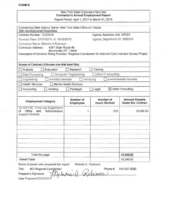| <b>FORM B</b> |  |
|---------------|--|
|               |  |
|               |  |

|                                                                                                                                                                                                                      | <b>New York State Consultant Services</b><br><b>Contractor's Annual Employment Report</b> |                                  |                                                    |  |
|----------------------------------------------------------------------------------------------------------------------------------------------------------------------------------------------------------------------|-------------------------------------------------------------------------------------------|----------------------------------|----------------------------------------------------|--|
|                                                                                                                                                                                                                      | Report Period: April 1, 2017 to March 31, 2018                                            |                                  |                                                    |  |
| Contracting State Agency Name: New York State Office for People<br>With developmental Disabilities                                                                                                                   |                                                                                           |                                  |                                                    |  |
| Contract Number: TLCO016                                                                                                                                                                                             |                                                                                           | Agency Business Unit: OPD01      |                                                    |  |
| Contract Term, 01/01/2018 to 00/30/2018                                                                                                                                                                              |                                                                                           | Agency Department ID: 3660243    |                                                    |  |
| Contractor Name: Melodie A.Robinson<br>Contractor Address:<br>4291 State Route 46<br>Munnsville, NY 13409<br>Description of Services Being Provided: Regional Coordinator for National Core Indicator Survey Project |                                                                                           |                                  |                                                    |  |
| Scope of Contract (Choose one that best fits):                                                                                                                                                                       |                                                                                           |                                  |                                                    |  |
| Evaluation<br>Analysis                                                                                                                                                                                               | Research                                                                                  | Training                         |                                                    |  |
| Data Processing                                                                                                                                                                                                      | <b>Computer Programming</b>                                                               | Other IT consulting              |                                                    |  |
| <b>Architect Services</b><br>Engineering                                                                                                                                                                             | $\Box$ Surveying                                                                          |                                  | <b>Environmental Services</b>                      |  |
| <b>Health Services</b>                                                                                                                                                                                               | Mental Health Services                                                                    |                                  |                                                    |  |
| Accounting<br>Auditing                                                                                                                                                                                               | Paraíegal                                                                                 | $\Box$ Legal                     | $\boxtimes$ Other Consulting                       |  |
| <b>Employment Category</b>                                                                                                                                                                                           | Number of<br><b>Employees</b>                                                             | Number of<br><b>Hours Worked</b> | <b>Amount Payable</b><br><b>Under the Contract</b> |  |
| 43-1011.00 - First-Line Supervisors<br>Office<br>of<br>Administrative<br>and<br>Support Workers                                                                                                                      | 1                                                                                         | 310                              | 16,299.00                                          |  |
|                                                                                                                                                                                                                      |                                                                                           |                                  |                                                    |  |
| Total this page                                                                                                                                                                                                      |                                                                                           |                                  | 16,299 00                                          |  |
|                                                                                                                                                                                                                      |                                                                                           |                                  |                                                    |  |

Title: NCI Regional Coordinator 315-527-0282 Phone #: Preparer's Signature: hinson  $\Delta$ Date Prepared:05/02/2018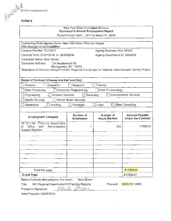\\Ar' , ~\\~ ~ 3271-S (Effooli•e 41121

# $\mathcal{H}$ <sup>1</sup> FORM B

#### New York State Consultant Services Contractor's Annual Employment Report

Report Period: April 1, 2017 to March 31, 2018

| Contracting State Agency Name: New York State Office for People<br>With developmental Disabilities                              |                                         |                                  |                                                    |  |
|---------------------------------------------------------------------------------------------------------------------------------|-----------------------------------------|----------------------------------|----------------------------------------------------|--|
| Contract Number: TLCO017                                                                                                        |                                         |                                  | Agency Business Unit: OPD01                        |  |
|                                                                                                                                 | Contract Term: 01/01/2018 to 06/30/2018 |                                  | Agency Department ID: 3660243                      |  |
| Contractor Name: Heidi Brown                                                                                                    |                                         |                                  |                                                    |  |
| Contractor Address:<br>124 Meadowood Rd                                                                                         |                                         |                                  |                                                    |  |
| Montgomery, NY 12549<br>Description of Services Being Provided: Regional Coordinator for National Core Indicator Survey Project |                                         |                                  |                                                    |  |
|                                                                                                                                 |                                         |                                  |                                                    |  |
| Scope of Contract (Choose one that best fits):                                                                                  |                                         |                                  |                                                    |  |
| Evaluation<br>Analysis                                                                                                          | Research                                | Training                         |                                                    |  |
| Data Processing                                                                                                                 | <b>Computer Programming</b>             | $\Box$ Other IT consulting       |                                                    |  |
| <b>Environmental Services</b><br><b>Architect Services</b><br>Engineering<br>Surveying                                          |                                         |                                  |                                                    |  |
| <b>Health Services</b>                                                                                                          | Mental Health Services                  |                                  |                                                    |  |
| Other Consulting<br>Accounting<br>Auditing<br>Legal<br>Paralegal                                                                |                                         |                                  |                                                    |  |
|                                                                                                                                 |                                         |                                  |                                                    |  |
| <b>Employment Category</b>                                                                                                      | Number of<br><b>Employees</b>           | Number of<br><b>Hours Worked</b> | <b>Amount Payable</b><br><b>Under the Contract</b> |  |
| 43-1011.00 - First-Line Supervisors<br>Office<br>Administrative<br>οf<br>and                                                    | 1                                       | 422                              | 17000.01                                           |  |
| <b>Support Workers</b>                                                                                                          |                                         |                                  |                                                    |  |
|                                                                                                                                 |                                         |                                  |                                                    |  |
|                                                                                                                                 |                                         |                                  |                                                    |  |
|                                                                                                                                 |                                         |                                  |                                                    |  |
|                                                                                                                                 |                                         |                                  |                                                    |  |
|                                                                                                                                 |                                         |                                  |                                                    |  |
|                                                                                                                                 |                                         |                                  |                                                    |  |
|                                                                                                                                 |                                         |                                  |                                                    |  |
| Total this page                                                                                                                 |                                         |                                  | \$17000.01                                         |  |
| <b>Grand Total</b>                                                                                                              |                                         |                                  | \$17000.01                                         |  |
| Name of person who prepared this report:                                                                                        | Heidi Brown                             |                                  |                                                    |  |
| NCI Regional Coordinator/HV/Taconic Regions<br>Title:                                                                           |                                         | Phone #:                         | $(845)$ 361-4203                                   |  |
| Preparer's Signature:                                                                                                           |                                         |                                  |                                                    |  |

Date Prepared: 05/03/2018